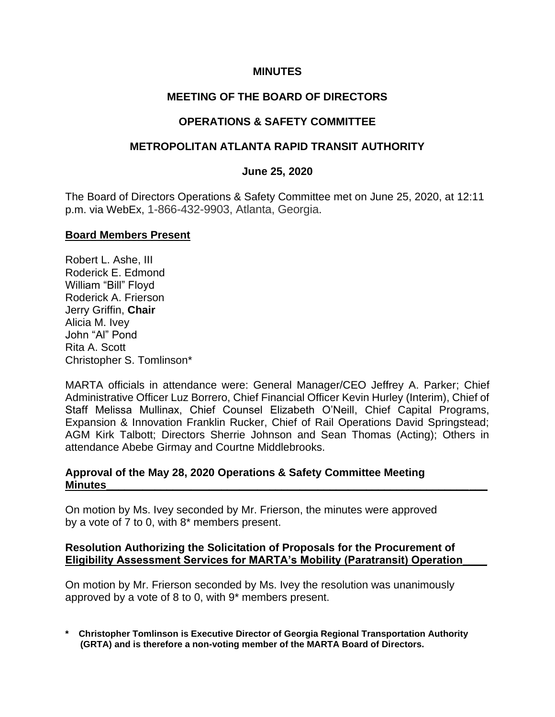#### **MINUTES**

## **MEETING OF THE BOARD OF DIRECTORS**

## **OPERATIONS & SAFETY COMMITTEE**

### **METROPOLITAN ATLANTA RAPID TRANSIT AUTHORITY**

#### **June 25, 2020**

The Board of Directors Operations & Safety Committee met on June 25, 2020, at 12:11 p.m. via WebEx, 1-866-432-9903, Atlanta, Georgia.

### **Board Members Present**

Robert L. Ashe, III Roderick E. Edmond William "Bill" Floyd Roderick A. Frierson Jerry Griffin, **Chair** Alicia M. Ivey John "Al" Pond Rita A. Scott Christopher S. Tomlinson\*

MARTA officials in attendance were: General Manager/CEO Jeffrey A. Parker; Chief Administrative Officer Luz Borrero, Chief Financial Officer Kevin Hurley (Interim), Chief of Staff Melissa Mullinax, Chief Counsel Elizabeth O'Neill, Chief Capital Programs, Expansion & Innovation Franklin Rucker, Chief of Rail Operations David Springstead; AGM Kirk Talbott; Directors Sherrie Johnson and Sean Thomas (Acting); Others in attendance Abebe Girmay and Courtne Middlebrooks.

### **Approval of the May 28, 2020 Operations & Safety Committee Meeting Minutes\_\_\_\_\_\_\_\_\_\_\_\_\_\_\_\_\_\_\_\_\_\_\_\_\_\_\_\_\_\_\_\_\_\_\_\_\_\_\_\_\_\_\_\_\_\_\_\_\_\_\_\_\_\_\_\_\_\_\_\_\_\_\_**

On motion by Ms. Ivey seconded by Mr. Frierson, the minutes were approved by a vote of 7 to 0, with 8\* members present.

#### **Resolution Authorizing the Solicitation of Proposals for the Procurement of Eligibility Assessment Services for MARTA's Mobility (Paratransit) Operation\_\_\_\_**

On motion by Mr. Frierson seconded by Ms. Ivey the resolution was unanimously approved by a vote of 8 to 0, with 9\* members present.

**\* Christopher Tomlinson is Executive Director of Georgia Regional Transportation Authority (GRTA) and is therefore a non-voting member of the MARTA Board of Directors.**